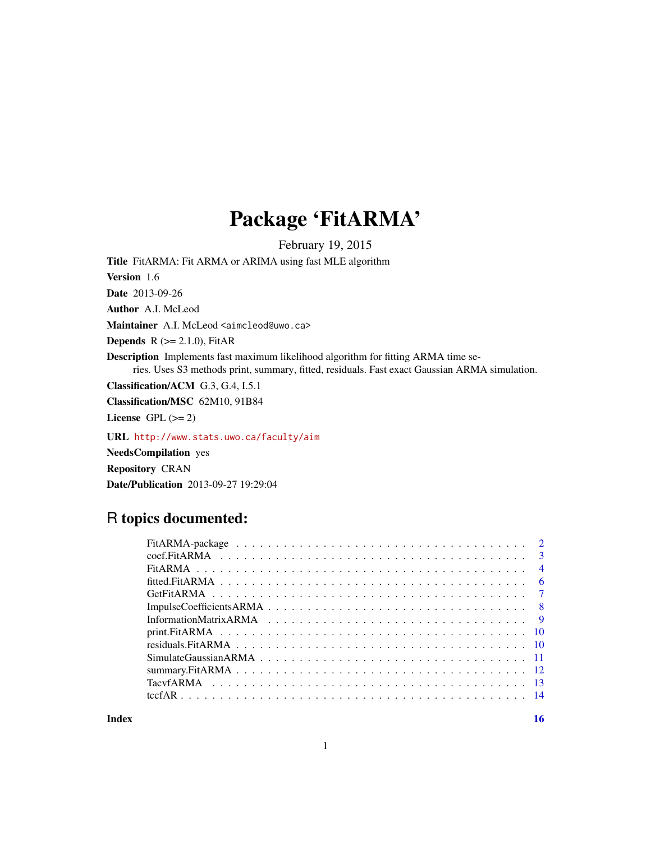# Package 'FitARMA'

February 19, 2015

<span id="page-0-0"></span>Title FitARMA: Fit ARMA or ARIMA using fast MLE algorithm

Version 1.6

Date 2013-09-26

Author A.I. McLeod

Maintainer A.I. McLeod <aimcleod@uwo.ca>

**Depends**  $R$  ( $>= 2.1.0$ ), FitAR

Description Implements fast maximum likelihood algorithm for fitting ARMA time series. Uses S3 methods print, summary, fitted, residuals. Fast exact Gaussian ARMA simulation.

Classification/ACM G.3, G.4, I.5.1

Classification/MSC 62M10, 91B84

License GPL  $(>= 2)$ 

URL <http://www.stats.uwo.ca/faculty/aim>

NeedsCompilation yes Repository CRAN Date/Publication 2013-09-27 19:29:04

# R topics documented:

**Index** and the contract of the contract of the contract of the contract of the contract of the contract of the contract of the contract of the contract of the contract of the contract of the contract of the contract of th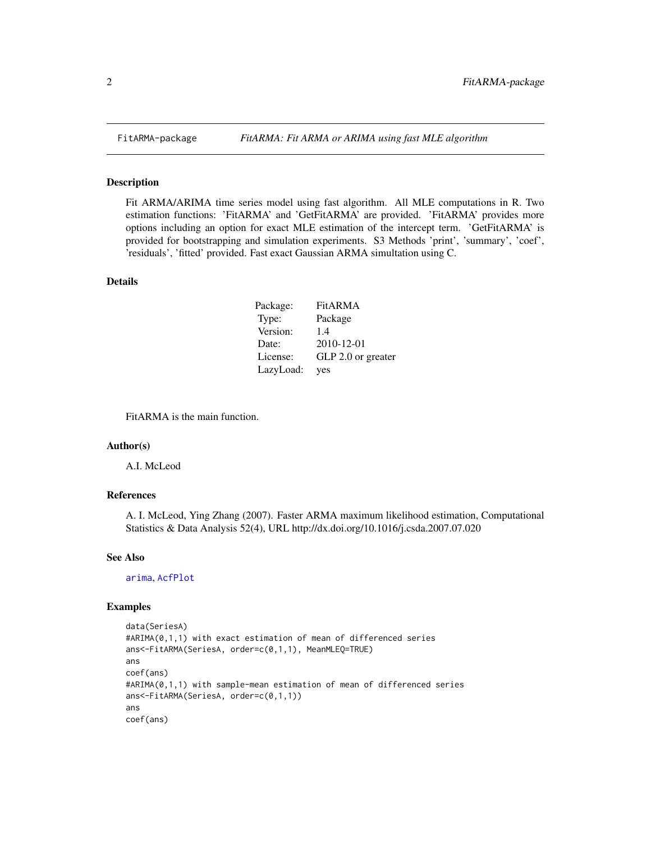Fit ARMA/ARIMA time series model using fast algorithm. All MLE computations in R. Two estimation functions: 'FitARMA' and 'GetFitARMA' are provided. 'FitARMA' provides more options including an option for exact MLE estimation of the intercept term. 'GetFitARMA' is provided for bootstrapping and simulation experiments. S3 Methods 'print', 'summary', 'coef', 'residuals', 'fitted' provided. Fast exact Gaussian ARMA simultation using C.

#### Details

| Package:  | FitARMA            |
|-----------|--------------------|
| Type:     | Package            |
| Version:  | 1.4                |
| Date:     | 2010-12-01         |
| License:  | GLP 2.0 or greater |
| LazyLoad: | yes                |

FitARMA is the main function.

#### Author(s)

A.I. McLeod

#### References

A. I. McLeod, Ying Zhang (2007). Faster ARMA maximum likelihood estimation, Computational Statistics & Data Analysis 52(4), URL http://dx.doi.org/10.1016/j.csda.2007.07.020

#### See Also

[arima](#page-0-0), [AcfPlot](#page-0-0)

```
data(SeriesA)
#ARIMA(0,1,1) with exact estimation of mean of differenced series
ans<-FitARMA(SeriesA, order=c(0,1,1), MeanMLEQ=TRUE)
ans
coef(ans)
#ARIMA(0,1,1) with sample-mean estimation of mean of differenced series
ans<-FitARMA(SeriesA, order=c(0,1,1))
ans
coef(ans)
```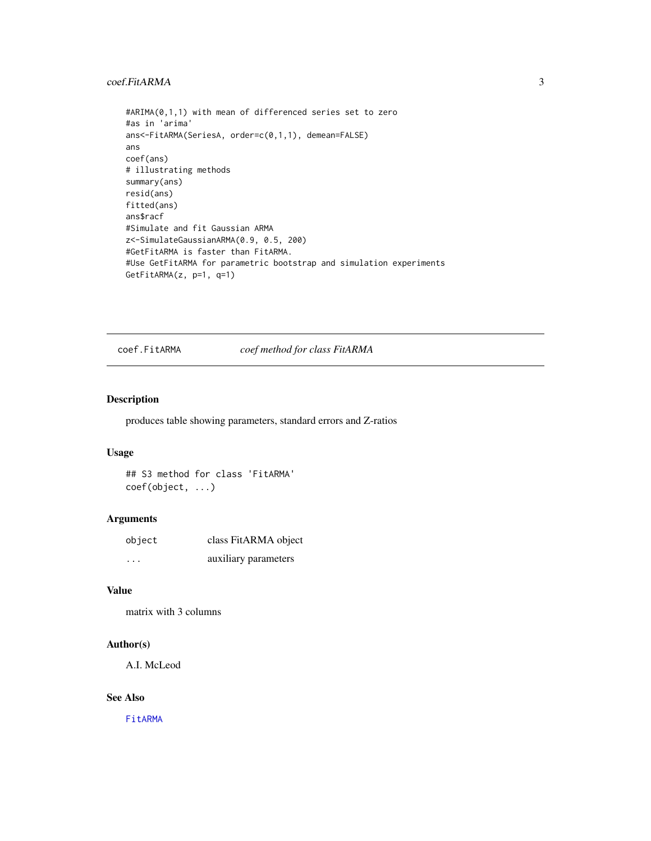#### <span id="page-2-0"></span>coef.FitARMA 3

```
#ARIMA(0,1,1) with mean of differenced series set to zero
#as in 'arima'
ans<-FitARMA(SeriesA, order=c(0,1,1), demean=FALSE)
ans
coef(ans)
# illustrating methods
summary(ans)
resid(ans)
fitted(ans)
ans$racf
#Simulate and fit Gaussian ARMA
z<-SimulateGaussianARMA(0.9, 0.5, 200)
#GetFitARMA is faster than FitARMA.
#Use GetFitARMA for parametric bootstrap and simulation experiments
GetFitARMA(z, p=1, q=1)
```
<span id="page-2-1"></span>coef.FitARMA *coef method for class FitARMA*

#### Description

produces table showing parameters, standard errors and Z-ratios

#### Usage

## S3 method for class 'FitARMA' coef(object, ...)

## Arguments

| object                  | class FitARMA object |
|-------------------------|----------------------|
| $\cdot$ $\cdot$ $\cdot$ | auxiliary parameters |

# Value

```
matrix with 3 columns
```
#### Author(s)

A.I. McLeod

#### See Also

[FitARMA](#page-3-1)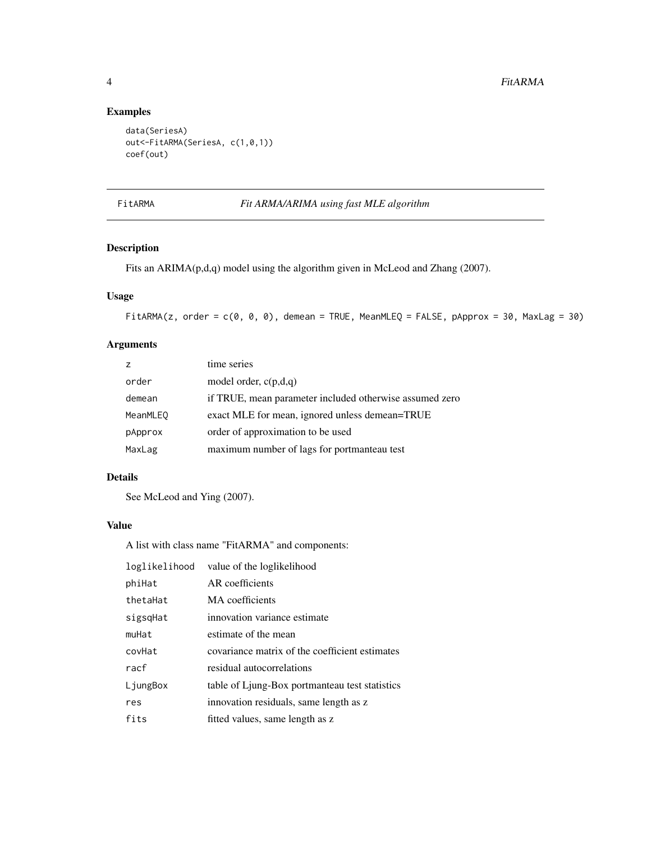# Examples

```
data(SeriesA)
out<-FitARMA(SeriesA, c(1,0,1))
coef(out)
```
## <span id="page-3-1"></span>FitARMA *Fit ARMA/ARIMA using fast MLE algorithm*

## Description

Fits an ARIMA(p,d,q) model using the algorithm given in McLeod and Zhang (2007).

## Usage

```
FitARMA(z, order = c(0, 0, 0), demean = TRUE, MeanMLEQ = FALSE, pApprox = 30, MaxLag = 30)
```
# Arguments

|                 | time series                                             |
|-----------------|---------------------------------------------------------|
| order           | model order, $c(p,d,q)$                                 |
| demean          | if TRUE, mean parameter included otherwise assumed zero |
| <b>MeanMLEO</b> | exact MLE for mean, ignored unless demean=TRUE          |
| pApprox         | order of approximation to be used                       |
| MaxLag          | maximum number of lags for portmanteau test             |

## Details

See McLeod and Ying (2007).

## Value

A list with class name "FitARMA" and components:

| loglikelihood | value of the loglikelihood                     |
|---------------|------------------------------------------------|
| phiHat        | AR coefficients                                |
| thetaHat      | MA coefficients                                |
| sigsqHat      | innovation variance estimate                   |
| muHat         | estimate of the mean                           |
| covHat        | covariance matrix of the coefficient estimates |
| racf          | residual autocorrelations                      |
| LjungBox      | table of Ljung-Box portmanteau test statistics |
| res           | innovation residuals, same length as z         |
| fits          | fitted values, same length as z                |

<span id="page-3-0"></span>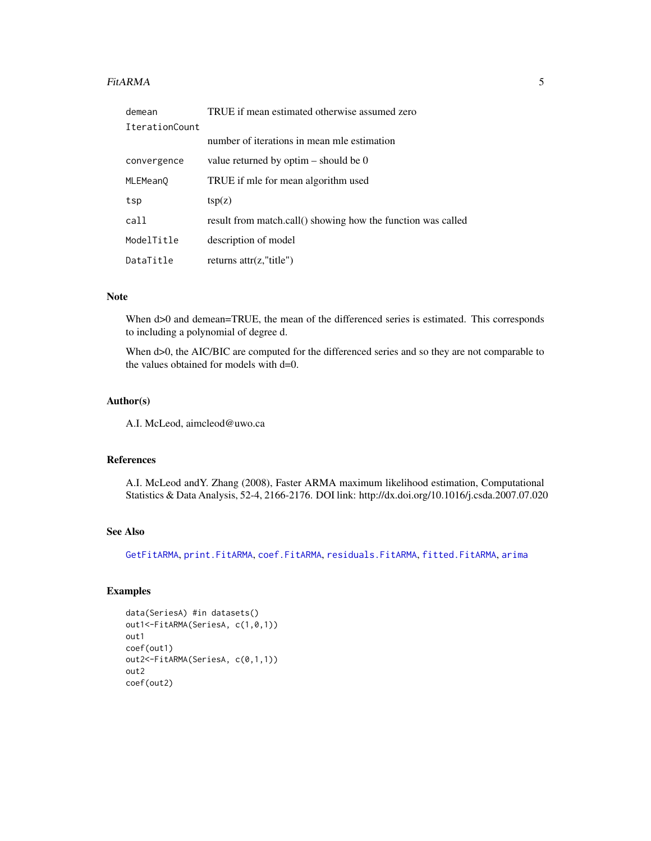#### <span id="page-4-0"></span>FitARMA 5

| demean         | TRUE if mean estimated otherwise assumed zero                |
|----------------|--------------------------------------------------------------|
| IterationCount |                                                              |
|                | number of iterations in mean mle estimation                  |
| convergence    | value returned by optim $-$ should be 0                      |
| MLEMean0       | TRUE if mle for mean algorithm used                          |
| tsp            | tsp(z)                                                       |
| call           | result from match.call() showing how the function was called |
| ModelTitle     | description of model                                         |
| DataTitle      | returns $\text{attr}(z, \text{"title"})$                     |

#### Note

When  $d>0$  and demean=TRUE, the mean of the differenced series is estimated. This corresponds to including a polynomial of degree d.

When d>0, the AIC/BIC are computed for the differenced series and so they are not comparable to the values obtained for models with d=0.

#### Author(s)

A.I. McLeod, aimcleod@uwo.ca

#### References

A.I. McLeod andY. Zhang (2008), Faster ARMA maximum likelihood estimation, Computational Statistics & Data Analysis, 52-4, 2166-2176. DOI link: http://dx.doi.org/10.1016/j.csda.2007.07.020

# See Also

[GetFitARMA](#page-6-1), [print.FitARMA](#page-9-1), [coef.FitARMA](#page-2-1), [residuals.FitARMA](#page-9-2), [fitted.FitARMA](#page-5-1), [arima](#page-0-0)

```
data(SeriesA) #in datasets()
out1<-FitARMA(SeriesA, c(1,0,1))
out1
coef(out1)
out2<-FitARMA(SeriesA, c(0,1,1))
out2
coef(out2)
```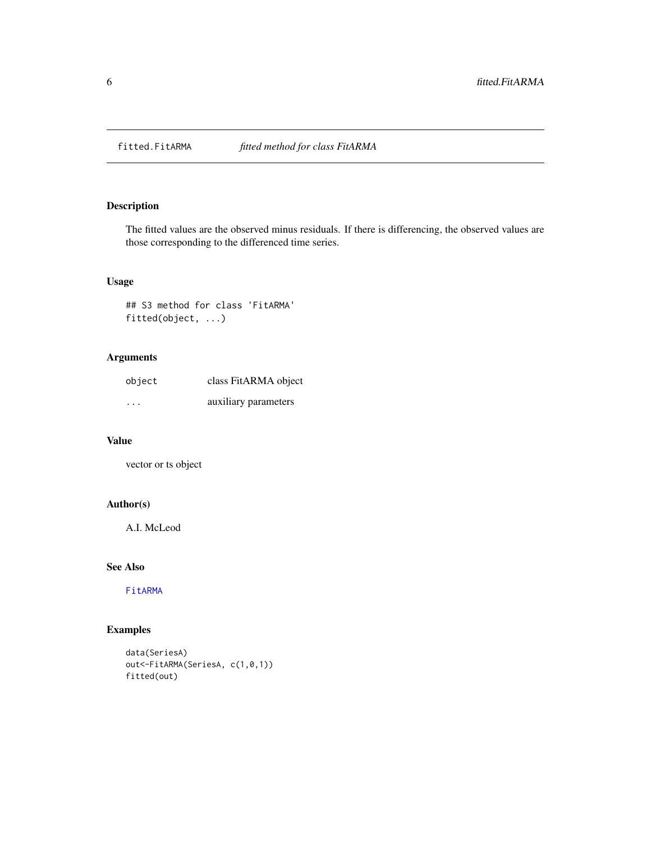<span id="page-5-1"></span><span id="page-5-0"></span>

The fitted values are the observed minus residuals. If there is differencing, the observed values are those corresponding to the differenced time series.

# Usage

## S3 method for class 'FitARMA' fitted(object, ...)

# Arguments

| object                  | class FitARMA object |
|-------------------------|----------------------|
| $\cdot$ $\cdot$ $\cdot$ | auxiliary parameters |

#### Value

vector or ts object

# Author(s)

A.I. McLeod

## See Also

[FitARMA](#page-3-1)

```
data(SeriesA)
out<-FitARMA(SeriesA, c(1,0,1))
fitted(out)
```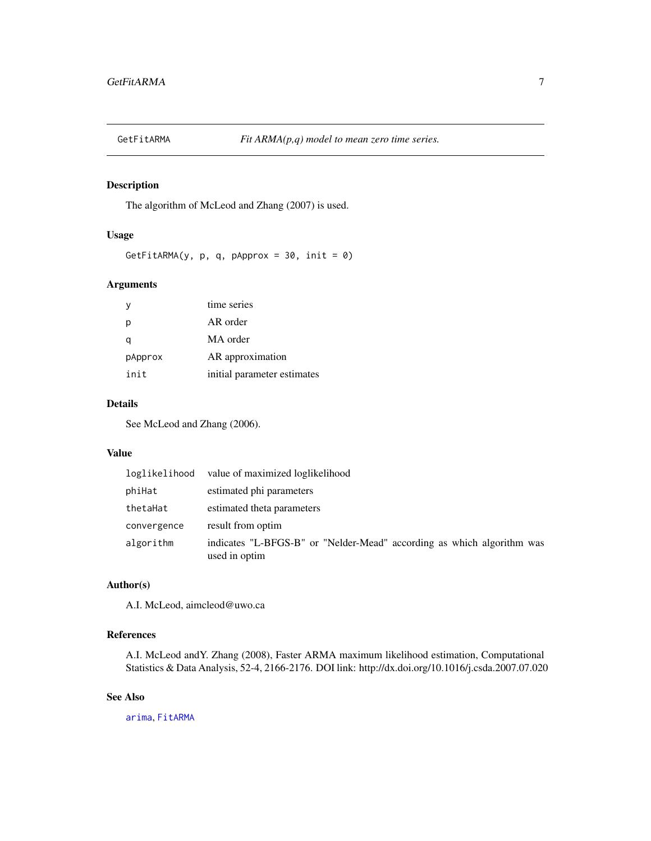<span id="page-6-1"></span><span id="page-6-0"></span>

The algorithm of McLeod and Zhang (2007) is used.

#### Usage

GetFitARMA(y, p, q, pApprox =  $30$ , init =  $0$ )

#### Arguments

|         | time series                 |
|---------|-----------------------------|
| р       | AR order                    |
|         | MA order                    |
| pApprox | AR approximation            |
| init    | initial parameter estimates |

#### Details

See McLeod and Zhang (2006).

#### Value

| loglikelihood | value of maximized loglikelihood                                                        |
|---------------|-----------------------------------------------------------------------------------------|
| phiHat        | estimated phi parameters                                                                |
| thetaHat      | estimated theta parameters                                                              |
| convergence   | result from optim                                                                       |
| algorithm     | indicates "L-BFGS-B" or "Nelder-Mead" according as which algorithm was<br>used in optim |

## Author(s)

A.I. McLeod, aimcleod@uwo.ca

## References

A.I. McLeod andY. Zhang (2008), Faster ARMA maximum likelihood estimation, Computational Statistics & Data Analysis, 52-4, 2166-2176. DOI link: http://dx.doi.org/10.1016/j.csda.2007.07.020

## See Also

[arima](#page-0-0), [FitARMA](#page-3-1)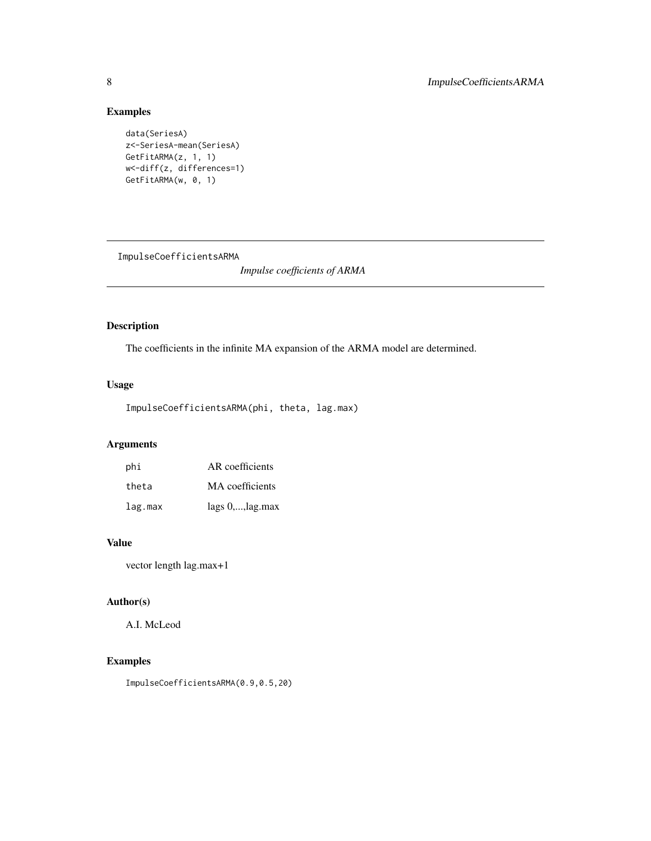# Examples

```
data(SeriesA)
z<-SeriesA-mean(SeriesA)
GetFitARMA(z, 1, 1)
w<-diff(z, differences=1)
GetFitARMA(w, 0, 1)
```
ImpulseCoefficientsARMA

*Impulse coefficients of ARMA*

## Description

The coefficients in the infinite MA expansion of the ARMA model are determined.

# Usage

```
ImpulseCoefficientsARMA(phi, theta, lag.max)
```
# Arguments

| phi     | AR coefficients           |
|---------|---------------------------|
| theta   | MA coefficients           |
| lag.max | $lags 0, \ldots, lag.max$ |

# Value

vector length lag.max+1

# Author(s)

A.I. McLeod

# Examples

ImpulseCoefficientsARMA(0.9,0.5,20)

<span id="page-7-0"></span>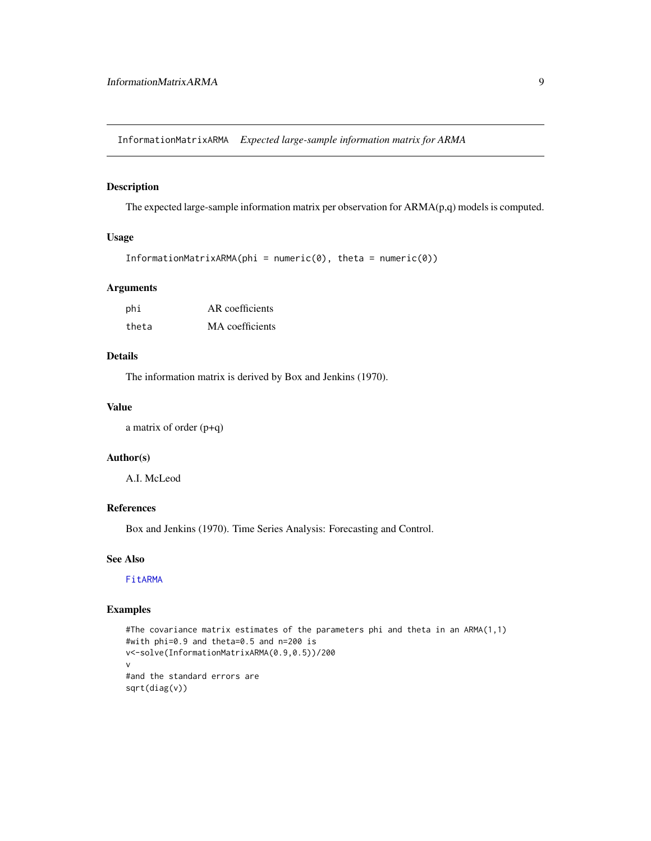<span id="page-8-1"></span><span id="page-8-0"></span>InformationMatrixARMA *Expected large-sample information matrix for ARMA*

## Description

The expected large-sample information matrix per observation for ARMA(p,q) models is computed.

## Usage

```
InformationMatrixARMA(phi = numeric(0), theta = numeric(0))
```
#### Arguments

| phi   | AR coefficients |
|-------|-----------------|
| theta | MA coefficients |

## Details

The information matrix is derived by Box and Jenkins (1970).

#### Value

a matrix of order (p+q)

#### Author(s)

A.I. McLeod

## References

Box and Jenkins (1970). Time Series Analysis: Forecasting and Control.

## See Also

[FitARMA](#page-3-1)

```
#The covariance matrix estimates of the parameters phi and theta in an ARMA(1,1)
#with phi=0.9 and theta=0.5 and n=200 is
v<-solve(InformationMatrixARMA(0.9,0.5))/200
v
#and the standard errors are
sqrt(diag(v))
```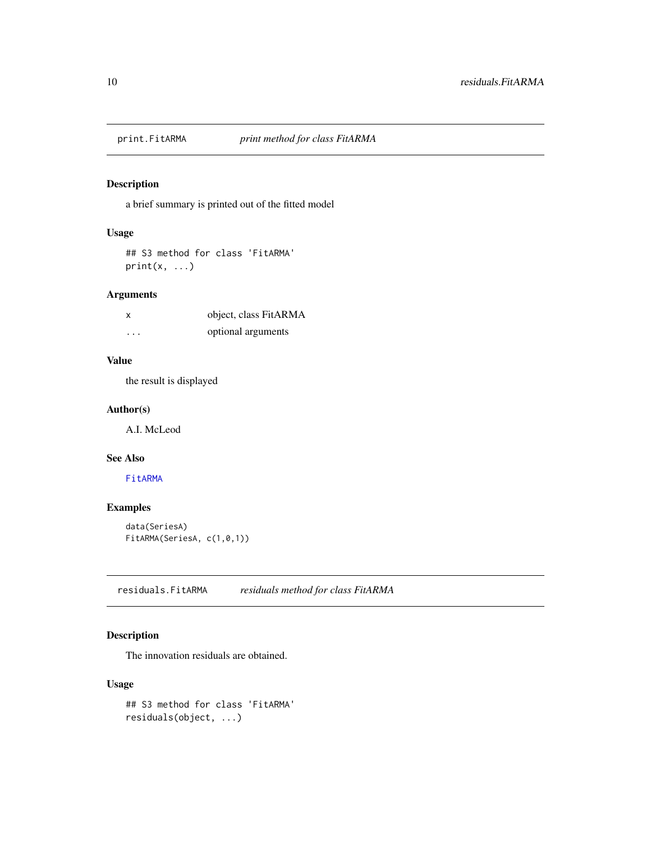<span id="page-9-1"></span><span id="page-9-0"></span>

a brief summary is printed out of the fitted model

## Usage

## S3 method for class 'FitARMA'  $print(x, \ldots)$ 

## Arguments

| X        | object, class FitARMA |
|----------|-----------------------|
| $\cdots$ | optional arguments    |

#### Value

the result is displayed

#### Author(s)

A.I. McLeod

## See Also

[FitARMA](#page-3-1)

## Examples

```
data(SeriesA)
FitARMA(SeriesA, c(1,0,1))
```
<span id="page-9-2"></span>residuals.FitARMA *residuals method for class FitARMA*

## Description

The innovation residuals are obtained.

#### Usage

```
## S3 method for class 'FitARMA'
residuals(object, ...)
```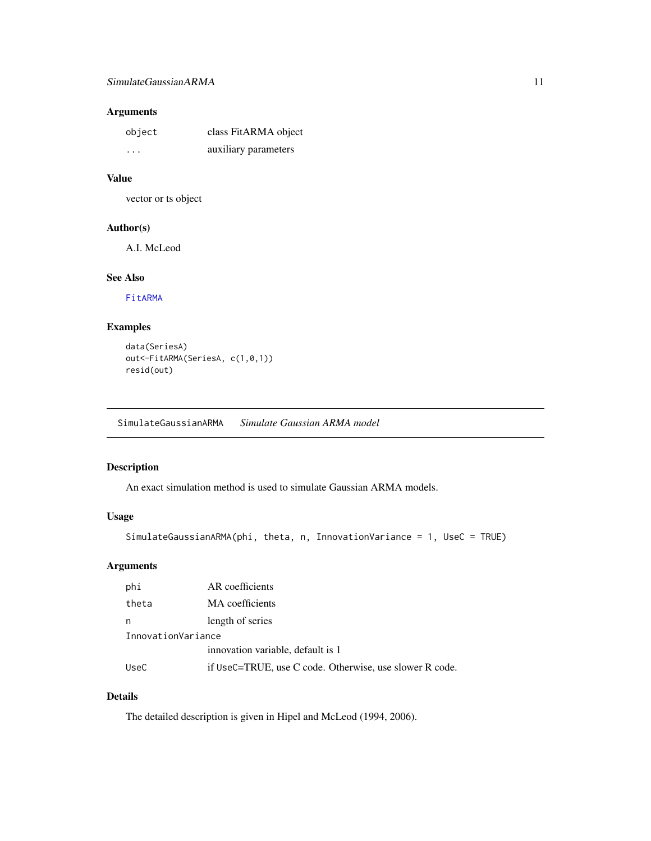# <span id="page-10-0"></span>Arguments

| object | class FitARMA object |
|--------|----------------------|
| .      | auxiliary parameters |

## Value

vector or ts object

# Author(s)

A.I. McLeod

# See Also

[FitARMA](#page-3-1)

# Examples

```
data(SeriesA)
out<-FitARMA(SeriesA, c(1,0,1))
resid(out)
```
SimulateGaussianARMA *Simulate Gaussian ARMA model*

# Description

An exact simulation method is used to simulate Gaussian ARMA models.

## Usage

```
SimulateGaussianARMA(phi, theta, n, InnovationVariance = 1, UseC = TRUE)
```
## Arguments

| phi                | AR coefficients                                         |  |
|--------------------|---------------------------------------------------------|--|
| theta              | MA coefficients                                         |  |
| n                  | length of series                                        |  |
| InnovationVariance |                                                         |  |
|                    | innovation variable, default is 1                       |  |
| UseC               | if UseC=TRUE, use C code. Otherwise, use slower R code. |  |

# Details

The detailed description is given in Hipel and McLeod (1994, 2006).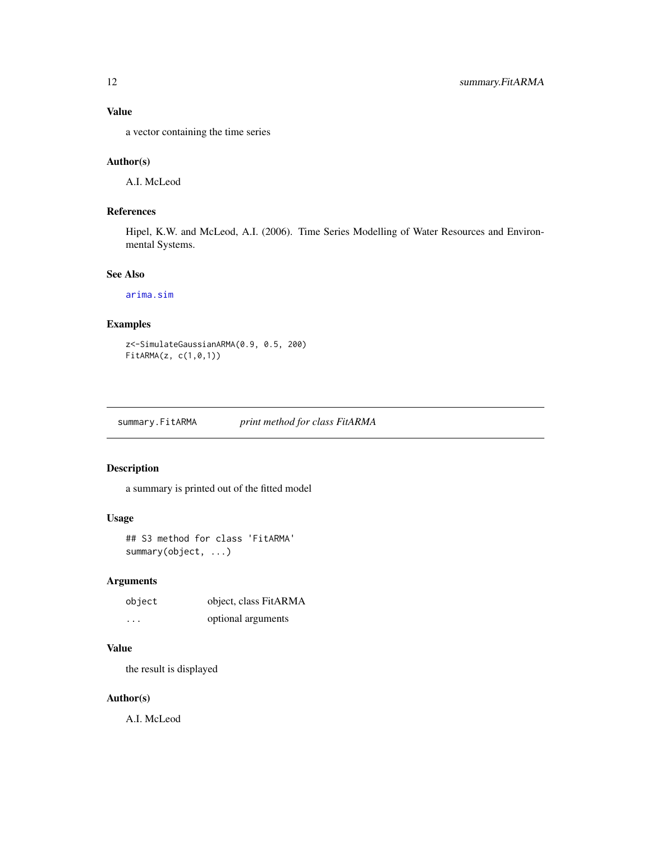## <span id="page-11-0"></span>Value

a vector containing the time series

## Author(s)

A.I. McLeod

# References

Hipel, K.W. and McLeod, A.I. (2006). Time Series Modelling of Water Resources and Environmental Systems.

#### See Also

[arima.sim](#page-0-0)

# Examples

```
z<-SimulateGaussianARMA(0.9, 0.5, 200)
FitARMA(z, c(1,0,1))
```
summary.FitARMA *print method for class FitARMA*

## Description

a summary is printed out of the fitted model

#### Usage

```
## S3 method for class 'FitARMA'
summary(object, ...)
```
## Arguments

| object                  | object, class FitARMA |
|-------------------------|-----------------------|
| $\cdot$ $\cdot$ $\cdot$ | optional arguments    |

## Value

the result is displayed

#### Author(s)

A.I. McLeod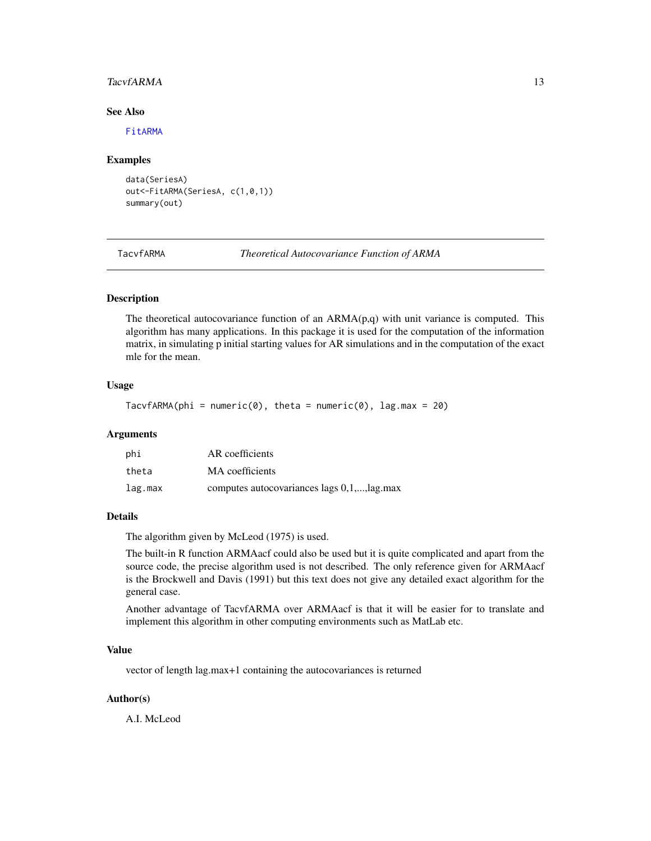#### <span id="page-12-0"></span>TacvfARMA 13

#### See Also

[FitARMA](#page-3-1)

#### Examples

```
data(SeriesA)
out<-FitARMA(SeriesA, c(1,0,1))
summary(out)
```
TacvfARMA *Theoretical Autocovariance Function of ARMA*

## Description

The theoretical autocovariance function of an  $ARMA(p,q)$  with unit variance is computed. This algorithm has many applications. In this package it is used for the computation of the information matrix, in simulating p initial starting values for AR simulations and in the computation of the exact mle for the mean.

## Usage

```
TacvfARMA(phi = numeric(0), theta = numeric(0), lag.max = 20)
```
#### Arguments

| phi     | AR coefficients                             |
|---------|---------------------------------------------|
| theta   | MA coefficients                             |
| lag.max | computes autocovariances lags 0,1,, lag.max |

## **Details**

The algorithm given by McLeod (1975) is used.

The built-in R function ARMAacf could also be used but it is quite complicated and apart from the source code, the precise algorithm used is not described. The only reference given for ARMAacf is the Brockwell and Davis (1991) but this text does not give any detailed exact algorithm for the general case.

Another advantage of TacvfARMA over ARMAacf is that it will be easier for to translate and implement this algorithm in other computing environments such as MatLab etc.

#### Value

vector of length lag.max+1 containing the autocovariances is returned

#### Author(s)

A.I. McLeod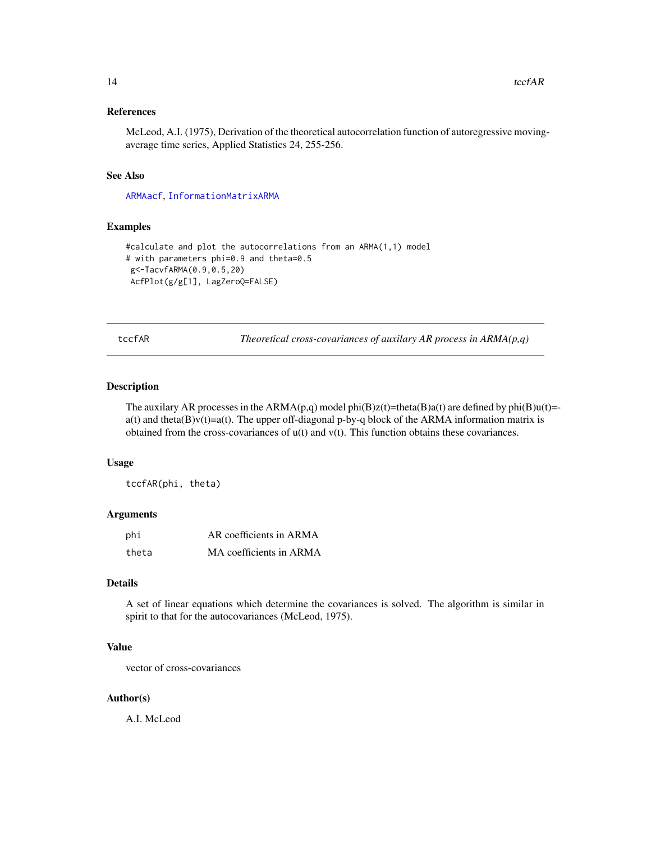#### <span id="page-13-0"></span>References

McLeod, A.I. (1975), Derivation of the theoretical autocorrelation function of autoregressive movingaverage time series, Applied Statistics 24, 255-256.

#### See Also

[ARMAacf](#page-0-0), [InformationMatrixARMA](#page-8-1)

#### Examples

```
#calculate and plot the autocorrelations from an ARMA(1,1) model
# with parameters phi=0.9 and theta=0.5
g<-TacvfARMA(0.9,0.5,20)
AcfPlot(g/g[1], LagZeroQ=FALSE)
```

|  | fAR |  |
|--|-----|--|
|  |     |  |

techances of auxilary AR process in ARMA(p,q)

#### Description

The auxilary AR processes in the ARMA(p,q) model phi(B)z(t)=theta(B)a(t) are defined by phi(B)u(t)=a(t) and theta(B)v(t)=a(t). The upper off-diagonal p-by-q block of the ARMA information matrix is obtained from the cross-covariances of u(t) and v(t). This function obtains these covariances.

#### Usage

tccfAR(phi, theta)

#### Arguments

| phi   | AR coefficients in ARMA |
|-------|-------------------------|
| theta | MA coefficients in ARMA |

## Details

A set of linear equations which determine the covariances is solved. The algorithm is similar in spirit to that for the autocovariances (McLeod, 1975).

#### Value

vector of cross-covariances

#### Author(s)

A.I. McLeod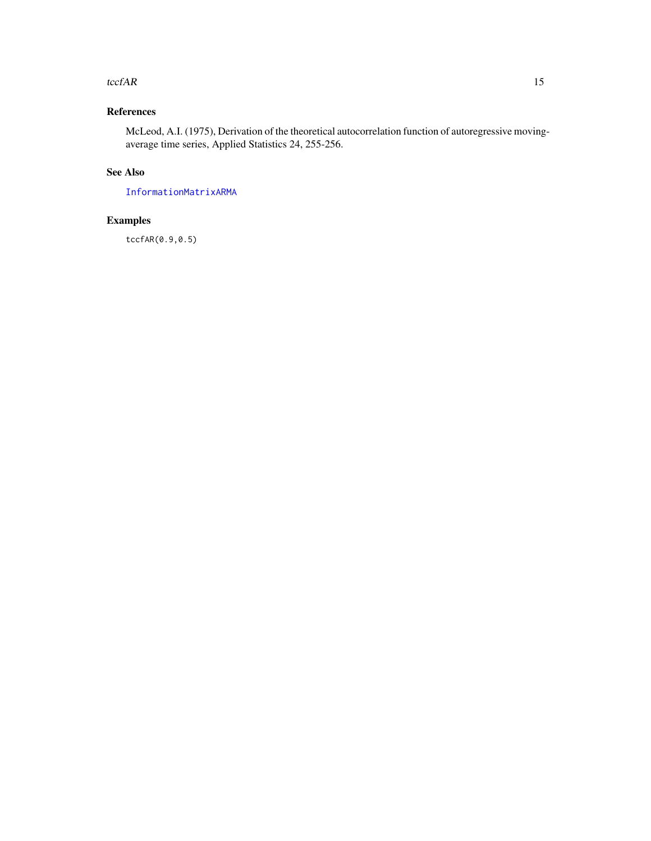#### <span id="page-14-0"></span>tccf $AR$  15

# References

McLeod, A.I. (1975), Derivation of the theoretical autocorrelation function of autoregressive movingaverage time series, Applied Statistics 24, 255-256.

# See Also

[InformationMatrixARMA](#page-8-1)

# Examples

tccfAR(0.9,0.5)